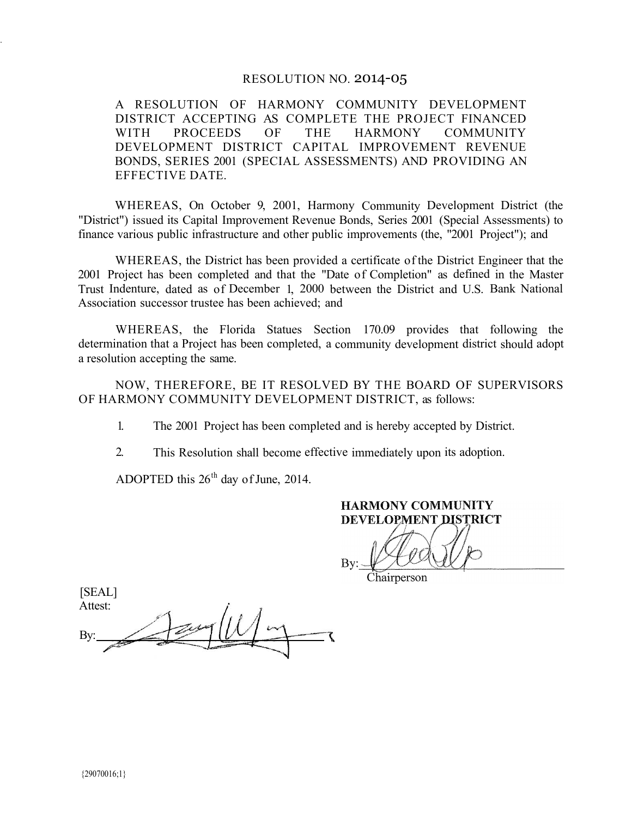## RESOLUTION NO. 2014-05 2014-05

A RESOLUTION OF HARMONY COMMUNITY DEVELOPMENT DISTRICT ACCEPTING AS COMPLETE THE PROJECT FINANCED WITH PROCEEDS OF THE HARMONY COMMUNITY DEVELOPMENT DISTRICT CAPITAL IMPROVEMENT REVENUE BONDS, SERIES 2001 (SPECIAL ASSESSMENTS) AND PROVIDING AN EFFECTIVE DATE.

WHEREAS, On October 9, 2001, Harmony Community Development District (the "District") issued its Capital Improvement Revenue Bonds, Series 2001 (Special Assessments) to finance various public infrastructure and other public improvements (the, "2001 Project"); and

WHEREAS, the District has been provided a certificate of the District Engineer that the 2001 Project has been completed and that the "Date of Completion" as defined in the Master Trust Indenture, dated as of December 1, 2000 between the District and U.S. Bank National Association successor trustee has been achieved; and

WHEREAS, the Florida Statues Section 170.09 provides that following the determination that a Project has been completed, a community development district should adopt a resolution accepting the same.

NOW, THEREFORE, BE IT RESOLVED BY THE BOARD OF SUPERVISORS OF HARMONY COMMUNITY DEVELOPMENT DISTRICT, as follows:

1. The 2001 Project has been completed and is hereby accepted by District.

2. This Resolution shall become effective immediately upon its adoption.

ADOPTED this  $26<sup>th</sup>$  day of June, 2014.

**HARMONY COMMUNITY** DEVELOPMENT DISTRICT

[SEAL] Attest: By: